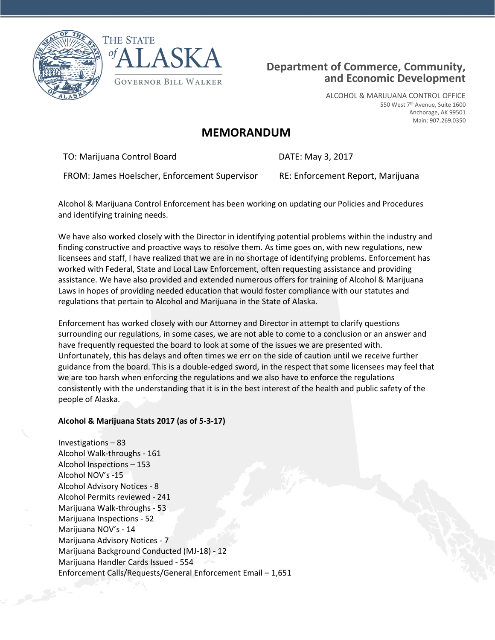



# **Department of Commerce, Community, and Economic Development**

ALCOHOL & MARIJUANA CONTROL OFFICE 550 West 7<sup>th</sup> Avenue, Suite 1600 Anchorage, AK 99501 Main: 907.269.0350

# **MEMORANDUM**

TO: Marijuana Control Board DATE: May 3, 2017

FROM: James Hoelscher, Enforcement Supervisor RE: Enforcement Report, Marijuana

Alcohol & Marijuana Control Enforcement has been working on updating our Policies and Procedures and identifying training needs.

We have also worked closely with the Director in identifying potential problems within the industry and finding constructive and proactive ways to resolve them. As time goes on, with new regulations, new licensees and staff, I have realized that we are in no shortage of identifying problems. Enforcement has worked with Federal, State and Local Law Enforcement, often requesting assistance and providing assistance. We have also provided and extended numerous offers for training of Alcohol & Marijuana Laws in hopes of providing needed education that would foster compliance with our statutes and regulations that pertain to Alcohol and Marijuana in the State of Alaska.

Enforcement has worked closely with our Attorney and Director in attempt to clarify questions surrounding our regulations, in some cases, we are not able to come to a conclusion or an answer and have frequently requested the board to look at some of the issues we are presented with. Unfortunately, this has delays and often times we err on the side of caution until we receive further guidance from the board. This is a double-edged sword, in the respect that some licensees may feel that we are too harsh when enforcing the regulations and we also have to enforce the regulations consistently with the understanding that it is in the best interest of the health and public safety of the people of Alaska.

# **Alcohol & Marijuana Stats 2017 (as of 5-3-17)**

Investigations – 83 Alcohol Walk-throughs - 161 Alcohol Inspections – 153 Alcohol NOV's -15 Alcohol Advisory Notices - 8 Alcohol Permits reviewed - 241 Marijuana Walk-throughs - 53 Marijuana Inspections - 52 Marijuana NOV's - 14 Marijuana Advisory Notices - 7 Marijuana Background Conducted (MJ-18) - 12 Marijuana Handler Cards Issued - 554 Enforcement Calls/Requests/General Enforcement Email – 1,651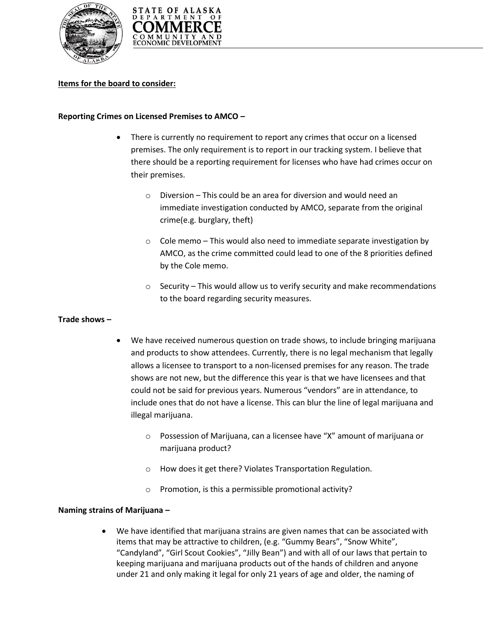



# **Items for the board to consider:**

### **Reporting Crimes on Licensed Premises to AMCO –**

- There is currently no requirement to report any crimes that occur on a licensed premises. The only requirement is to report in our tracking system. I believe that there should be a reporting requirement for licenses who have had crimes occur on their premises.
	- o Diversion This could be an area for diversion and would need an immediate investigation conducted by AMCO, separate from the original crime(e.g. burglary, theft)
	- $\circ$  Cole memo This would also need to immediate separate investigation by AMCO, as the crime committed could lead to one of the 8 priorities defined by the Cole memo.
	- o Security This would allow us to verify security and make recommendations to the board regarding security measures.

#### **Trade shows –**

- We have received numerous question on trade shows, to include bringing marijuana and products to show attendees. Currently, there is no legal mechanism that legally allows a licensee to transport to a non-licensed premises for any reason. The trade shows are not new, but the difference this year is that we have licensees and that could not be said for previous years. Numerous "vendors" are in attendance, to include ones that do not have a license. This can blur the line of legal marijuana and illegal marijuana.
	- o Possession of Marijuana, can a licensee have "X" amount of marijuana or marijuana product?
	- o How does it get there? Violates Transportation Regulation.
	- o Promotion, is this a permissible promotional activity?

#### **Naming strains of Marijuana –**

 We have identified that marijuana strains are given names that can be associated with items that may be attractive to children, (e.g. "Gummy Bears", "Snow White", "Candyland", "Girl Scout Cookies", "Jilly Bean") and with all of our laws that pertain to keeping marijuana and marijuana products out of the hands of children and anyone under 21 and only making it legal for only 21 years of age and older, the naming of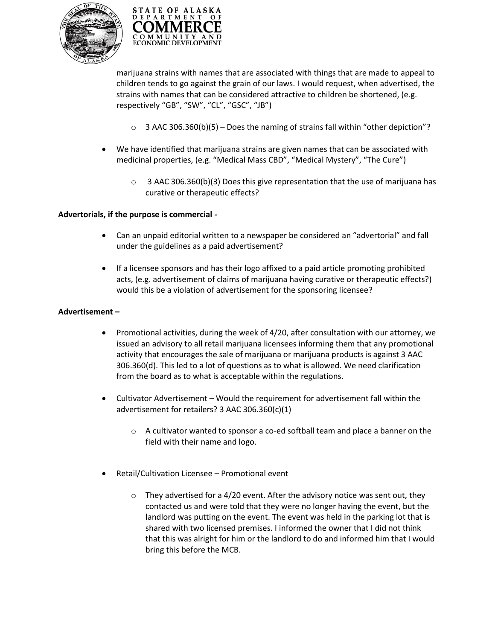



marijuana strains with names that are associated with things that are made to appeal to children tends to go against the grain of our laws. I would request, when advertised, the strains with names that can be considered attractive to children be shortened, (e.g. respectively "GB", "SW", "CL", "GSC", "JB")

- $\circ$  3 AAC 306.360(b)(5) Does the naming of strains fall within "other depiction"?
- We have identified that marijuana strains are given names that can be associated with medicinal properties, (e.g. "Medical Mass CBD", "Medical Mystery", "The Cure")
	- $\circ$  3 AAC 306.360(b)(3) Does this give representation that the use of marijuana has curative or therapeutic effects?

# **Advertorials, if the purpose is commercial -**

- Can an unpaid editorial written to a newspaper be considered an "advertorial" and fall under the guidelines as a paid advertisement?
- If a licensee sponsors and has their logo affixed to a paid article promoting prohibited acts, (e.g. advertisement of claims of marijuana having curative or therapeutic effects?) would this be a violation of advertisement for the sponsoring licensee?

# **Advertisement –**

- Promotional activities, during the week of 4/20, after consultation with our attorney, we issued an advisory to all retail marijuana licensees informing them that any promotional activity that encourages the sale of marijuana or marijuana products is against 3 AAC 306.360(d). This led to a lot of questions as to what is allowed. We need clarification from the board as to what is acceptable within the regulations.
- Cultivator Advertisement Would the requirement for advertisement fall within the advertisement for retailers? 3 AAC 306.360(c)(1)
	- o A cultivator wanted to sponsor a co-ed softball team and place a banner on the field with their name and logo.
- Retail/Cultivation Licensee Promotional event
	- $\circ$  They advertised for a 4/20 event. After the advisory notice was sent out, they contacted us and were told that they were no longer having the event, but the landlord was putting on the event. The event was held in the parking lot that is shared with two licensed premises. I informed the owner that I did not think that this was alright for him or the landlord to do and informed him that I would bring this before the MCB.